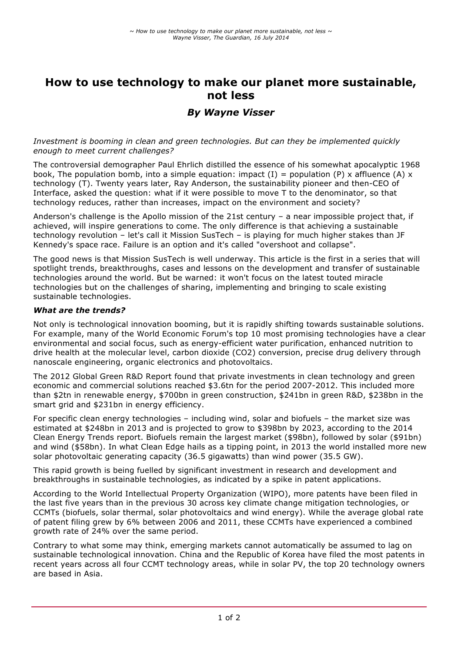# **How to use technology to make our planet more sustainable, not less**

## *By Wayne Visser*

*Investment is booming in clean and green technologies. But can they be implemented quickly enough to meet current challenges?*

The controversial demographer Paul Ehrlich distilled the essence of his somewhat apocalyptic 1968 book, The population bomb, into a simple equation: impact (I) = population (P) x affluence (A) x technology (T). Twenty years later, Ray Anderson, the sustainability pioneer and then-CEO of Interface, asked the question: what if it were possible to move T to the denominator, so that technology reduces, rather than increases, impact on the environment and society?

Anderson's challenge is the Apollo mission of the 21st century – a near impossible project that, if achieved, will inspire generations to come. The only difference is that achieving a sustainable technology revolution – let's call it Mission SusTech – is playing for much higher stakes than JF Kennedy's space race. Failure is an option and it's called "overshoot and collapse".

The good news is that Mission SusTech is well underway. This article is the first in a series that will spotlight trends, breakthroughs, cases and lessons on the development and transfer of sustainable technologies around the world. But be warned: it won't focus on the latest touted miracle technologies but on the challenges of sharing, implementing and bringing to scale existing sustainable technologies.

### *What are the trends?*

Not only is technological innovation booming, but it is rapidly shifting towards sustainable solutions. For example, many of the World Economic Forum's top 10 most promising technologies have a clear environmental and social focus, such as energy-efficient water purification, enhanced nutrition to drive health at the molecular level, carbon dioxide (CO2) conversion, precise drug delivery through nanoscale engineering, organic electronics and photovoltaics.

The 2012 Global Green R&D Report found that private investments in clean technology and green economic and commercial solutions reached \$3.6tn for the period 2007-2012. This included more than \$2tn in renewable energy, \$700bn in green construction, \$241bn in green R&D, \$238bn in the smart grid and \$231bn in energy efficiency.

For specific clean energy technologies – including wind, solar and biofuels – the market size was estimated at \$248bn in 2013 and is projected to grow to \$398bn by 2023, according to the 2014 Clean Energy Trends report. Biofuels remain the largest market (\$98bn), followed by solar (\$91bn) and wind (\$58bn). In what Clean Edge hails as a tipping point, in 2013 the world installed more new solar photovoltaic generating capacity (36.5 gigawatts) than wind power (35.5 GW).

This rapid growth is being fuelled by significant investment in research and development and breakthroughs in sustainable technologies, as indicated by a spike in patent applications.

According to the World Intellectual Property Organization (WIPO), more patents have been filed in the last five years than in the previous 30 across key climate change mitigation technologies, or CCMTs (biofuels, solar thermal, solar photovoltaics and wind energy). While the average global rate of patent filing grew by 6% between 2006 and 2011, these CCMTs have experienced a combined growth rate of 24% over the same period.

Contrary to what some may think, emerging markets cannot automatically be assumed to lag on sustainable technological innovation. China and the Republic of Korea have filed the most patents in recent years across all four CCMT technology areas, while in solar PV, the top 20 technology owners are based in Asia.